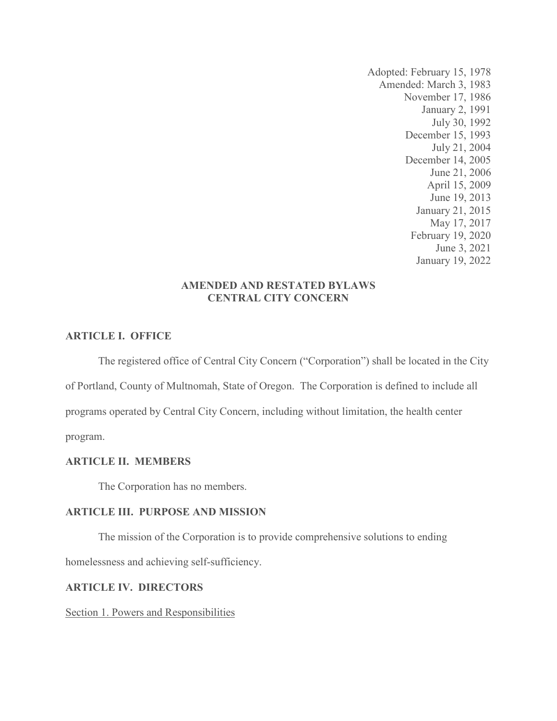Adopted: February 15, 1978 Amended: March 3, 1983 November 17, 1986 January 2, 1991 July 30, 1992 December 15, 1993 July 21, 2004 December 14, 2005 June 21, 2006 April 15, 2009 June 19, 2013 January 21, 2015 May 17, 2017 February 19, 2020 June 3, 2021 January 19, 2022

# AMENDED AND RESTATED BYLAWS CENTRAL CITY CONCERN

# ARTICLE I. OFFICE

The registered office of Central City Concern ("Corporation") shall be located in the City of Portland, County of Multnomah, State of Oregon. The Corporation is defined to include all programs operated by Central City Concern, including without limitation, the health center program.

## ARTICLE II. MEMBERS

The Corporation has no members.

## ARTICLE III. PURPOSE AND MISSION

The mission of the Corporation is to provide comprehensive solutions to ending

homelessness and achieving self-sufficiency.

# ARTICLE IV. DIRECTORS

Section 1. Powers and Responsibilities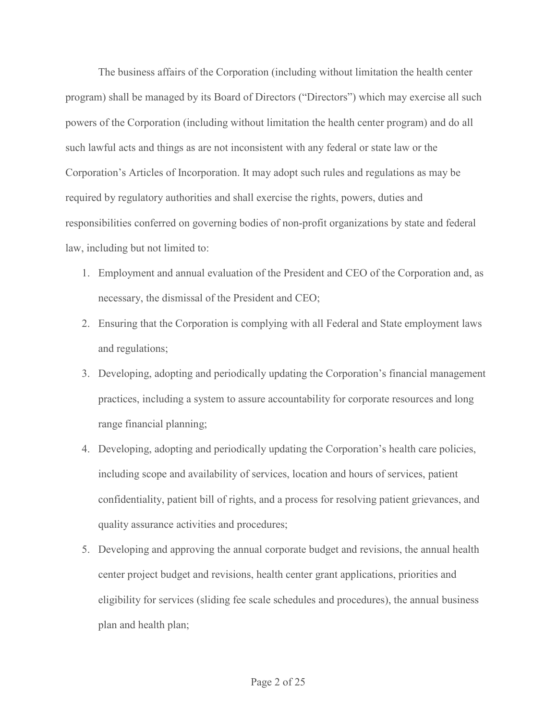The business affairs of the Corporation (including without limitation the health center program) shall be managed by its Board of Directors ("Directors") which may exercise all such The business affairs of the Corporation (including without limitation the health center program) shall be managed by its Board of Directors ("Directors") which may exercise all such powers of the Corporation (including wit such lawful acts and things as are not inconsistent with any federal or state law or the Corporation's Articles of Incorporation. It may adopt such rules and regulations as may be required by regulatory authorities and shall exercise the rights, powers, duties and responsibilities conferred on governing bodies of non-profit organizations by state and federal law, including but not limited to:

- 1. Employment and annual evaluation of the President and CEO of the Corporation and, as necessary, the dismissal of the President and CEO;
- 2. Ensuring that the Corporation is complying with all Federal and State employment laws and regulations;
- 3. Developing, adopting and periodically updating the Corporation's financial management practices, including a system to assure accountability for corporate resources and long range financial planning;
- 4. Developing, adopting and periodically updating the Corporation's health care policies, including scope and availability of services, location and hours of services, patient confidentiality, patient bill of rights, and a process for resolving patient grievances, and quality assurance activities and procedures;
- 5. Developing and approving the annual corporate budget and revisions, the annual health center project budget and revisions, health center grant applications, priorities and eligibility for services (sliding fee scale schedules and procedures), the annual business plan and health plan;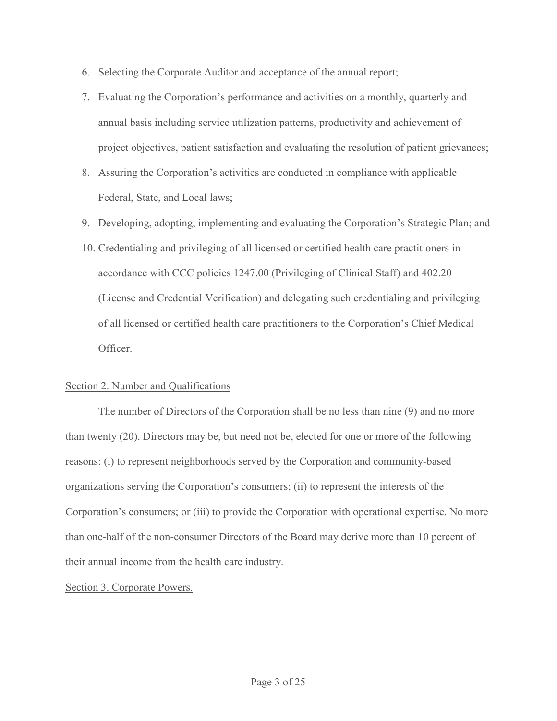- 
- 6. Selecting the Corporate Auditor and acceptance of the annual report;<br>7. Evaluating the Corporation's performance and activities on a monthly, quarterly and<br>annual basis including service utilization patterns, productivi 5. Selecting the Corporate Auditor and acceptance of the annual report;<br>
7. Evaluating the Corporation's performance and activities on a monthly, quarterly and<br>
annual basis including service utilization patterns, producti annual basis including service utilization patterns, productivity and achievement of project objectives, patient satisfaction and evaluating the resolution of patient grievances; Selecting the Corporate Auditor and acceptance of the annual report;<br>Evaluating the Corporation's performance and activities on a monthly, quarterly and<br>annual basis including service utilization patterns, productivity and
- 8. Assuring the Corporation's activities are conducted in compliance with applicable
- 9. Developing, adopting, implementing and evaluating the Corporation's Strategic Plan; and
- 10. Credentialing and privileging of all licensed or certified health care practitioners in accordance with CCC policies 1247.00 (Privileging of Clinical Staff) and 402.20 (License and Credential Verification) and delegating such credentialing and privileging of all licensed or certified health care practitioners to the Corporation's Chief Medical Officer.

#### Section 2. Number and Qualifications

 The number of Directors of the Corporation shall be no less than nine (9) and no more than twenty (20). Directors may be, but need not be, elected for one or more of the following reasons: (i) to represent neighborhoods served by the Corporation and community-based organizations serving the Corporation's consumers; (ii) to represent the interests of the Corporation's consumers; or (iii) to provide the Corporation with operational expertise. No more than one-half of the non-consumer Directors of the Board may derive more than 10 percent of their annual income from the health care industry.

#### Section 3. Corporate Powers.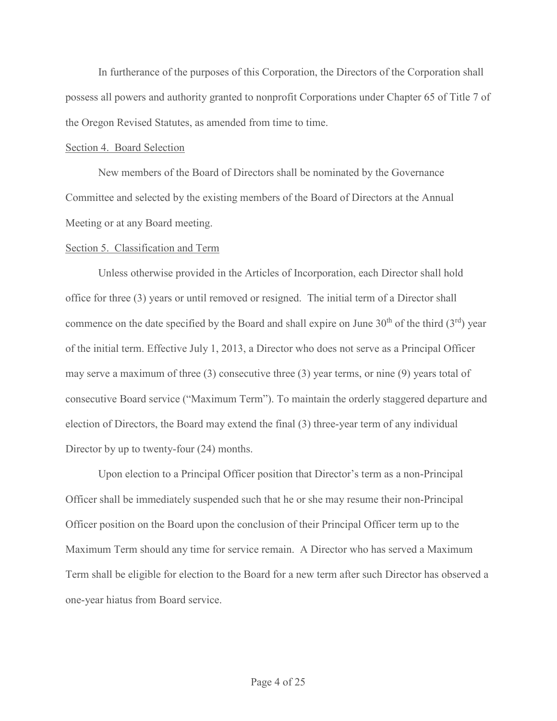In furtherance of the purposes of this Corporation, the Directors of the Corporation shall possess all powers and authority granted to nonprofit Corporations under Chapter 65 of Title 7 of the Oregon Revised Statutes, as amended from time to time. In furtherance of the purposes of this Corporation, the Directors of the Corporation sh<br>possess all powers and authority granted to nonprofit Corporations under Chapter 65 of Title<br>the Oregon Revised Statutes, as amended f

#### Section 4. Board Selection

 New members of the Board of Directors shall be nominated by the Governance Committee and selected by the existing members of the Board of Directors at the Annual

#### Section 5. Classification and Term

 Unless otherwise provided in the Articles of Incorporation, each Director shall hold office for three (3) years or until removed or resigned. The initial term of a Director shall commence on the date specified by the Board and shall expire on June  $30<sup>th</sup>$  of the third  $(3<sup>rd</sup>)$  year of the initial term. Effective July 1, 2013, a Director who does not serve as a Principal Officer may serve a maximum of three (3) consecutive three (3) year terms, or nine (9) years total of consecutive Board service ("Maximum Term"). To maintain the orderly staggered departure and election of Directors, the Board may extend the final (3) three-year term of any individual Director by up to twenty-four (24) months.

Upon election to a Principal Officer position that Director's term as a non-Principal Officer shall be immediately suspended such that he or she may resume their non-Principal Officer position on the Board upon the conclusion of their Principal Officer term up to the Maximum Term should any time for service remain. A Director who has served a Maximum Term shall be eligible for election to the Board for a new term after such Director has observed a one-year hiatus from Board service.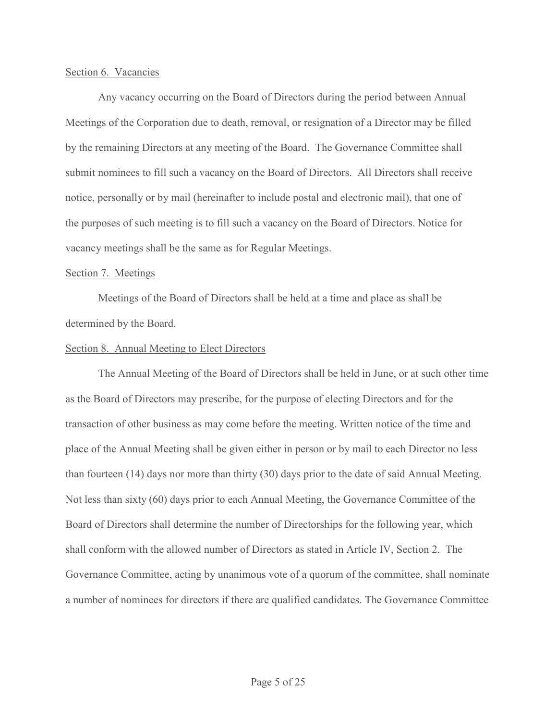#### Section 6. Vacancies

 Any vacancy occurring on the Board of Directors during the period between Annual Meetings of the Corporation due to death, removal, or resignation of a Director may be filled by the remaining Directors at any meeting of the Board. The Governance Committee shall submit nominees to fill such a vacancy on the Board of Directors. All Directors shall receive notice, personally or by mail (hereinafter to include postal and electronic mail), that one of the purposes of such meeting is to fill such a vacancy on the Board of Directors. Notice for Section 6. Vacancies<br>
Any vacancy occurring on the Board of Directors during the period between Annual<br>
Meetings of the Corporation due to death, removal, or resignation of a Director may be filled<br>
by the remaining Direct

## Section 7. Meetings

Meetings of the Board of Directors shall be held at a time and place as shall be determined by the Board.

#### Section 8. Annual Meeting to Elect Directors

The Annual Meeting of the Board of Directors shall be held in June, or at such other time as the Board of Directors may prescribe, for the purpose of electing Directors and for the transaction of other business as may come before the meeting. Written notice of the time and place of the Annual Meeting shall be given either in person or by mail to each Director no less than fourteen (14) days nor more than thirty (30) days prior to the date of said Annual Meeting. Not less than sixty (60) days prior to each Annual Meeting, the Governance Committee of the Board of Directors shall determine the number of Directorships for the following year, which shall conform with the allowed number of Directors as stated in Article IV, Section 2. The Governance Committee, acting by unanimous vote of a quorum of the committee, shall nominate a number of nominees for directors if there are qualified candidates. The Governance Committee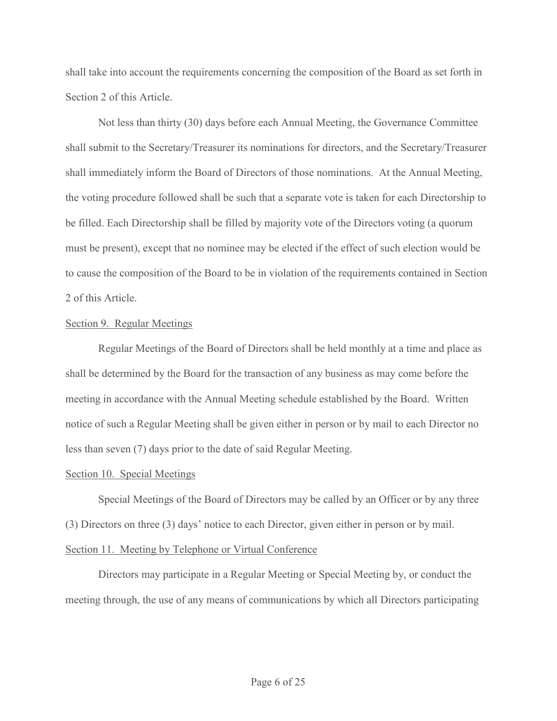shall take into account the requirements concerning the composition of the Board as set forth in Section 2 of this Article.

Not less than thirty (30) days before each Annual Meeting, the Governance Committee shall submit to the Secretary/Treasurer its nominations for directors, and the Secretary/Treasurer shall immediately inform the Board of Directors of those nominations. At the Annual Meeting, the voting procedure followed shall be such that a separate vote is taken for each Directorship to be filled. Each Directorship shall be filled by majority vote of the Directors voting (a quorum must be present), except that no nominee may be elected if the effect of such election would be to cause the composition of the Board to be in violation of the requirements contained in Section 2 of this Article. shall immediately inform the Board of Directors of those nominations. At the Annual Meeting,<br>the voting procedure followed shall be such that a separate vote is taken for each Directorship to<br>be filled. Each Directorship s

## Section 9. Regular Meetings

Regular Meetings of the Board of Directors shall be held monthly at a time and place as shall be determined by the Board for the transaction of any business as may come before the notice of such a Regular Meeting shall be given either in person or by mail to each Director no less than seven (7) days prior to the date of said Regular Meeting. Regular Meetings of the Board of Directors shall be held monthly at a time and place as<br>determined by the Board for the transaction of any business as may come before the<br>in accordance with the Annual Meeting schedule esta

# Section 10. Special Meetings

Special Meetings of the Board of Directors may be called by an Officer or by any three (3) Directors on three (3) days' notice to each Director, given either in person or by mail. Section 11. Meeting by Telephone or Virtual Conference

# meeting through, the use of any means of communications by which all Directors participating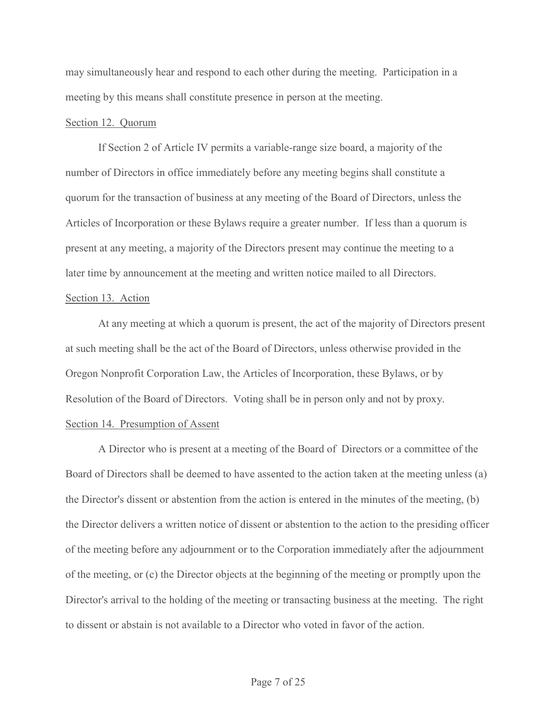may simultaneously hear and respond to each other during the meeting. Participation in a meeting by this means shall constitute presence in person at the meeting.

## Section 12. Quorum

If Section 2 of Article IV permits a variable-range size board, a majority of the may simultaneously hear and respond to each other during the meeting. Participation in a<br>mecting by this means shall constitute presence in person at the meeting.<br>Section 12. Quorum<br>If Section 2 of Article IV permits a var quorum for the transaction of business at any meeting of the Board of Directors, unless the Articles of Incorporation or these Bylaws require a greater number. If less than a quorum is present at any meeting, a majority of the Directors present may continue the meeting to a later time by announcement at the meeting and written notice mailed to all Directors.

# Section 13. Action

At any meeting at which a quorum is present, the act of the majority of Directors present at such meeting shall be the act of the Board of Directors, unless otherwise provided in the Oregon Nonprofit Corporation Law, the Articles of Incorporation, these Bylaws, or by Resolution of the Board of Directors. Voting shall be in person only and not by proxy. Section 14. Presumption of Assent

A Director who is present at a meeting of the Board of Directors or a committee of the Board of Directors shall be deemed to have assented to the action taken at the meeting unless (a) the Director's dissent or abstention from the action is entered in the minutes of the meeting, (b) the Director delivers a written notice of dissent or abstention to the action to the presiding officer of the meeting before any adjournment or to the Corporation immediately after the adjournment of the meeting, or (c) the Director objects at the beginning of the meeting or promptly upon the Director's arrival to the holding of the meeting or transacting business at the meeting. The right to dissent or abstain is not available to a Director who voted in favor of the action.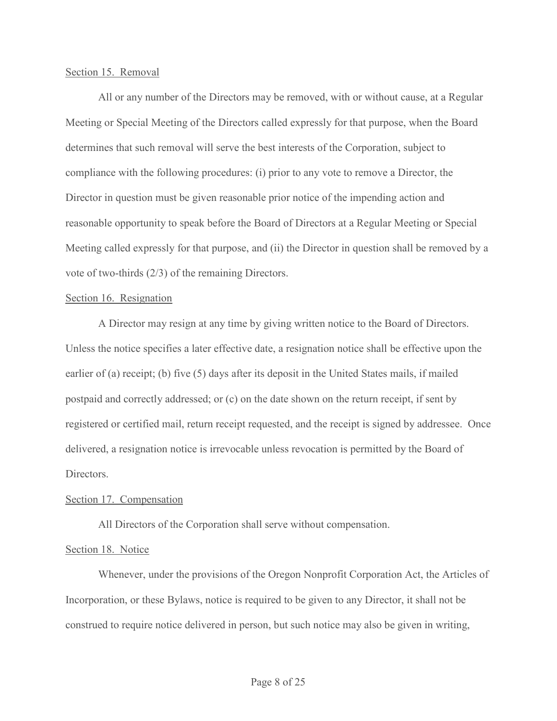#### Section 15. Removal

 All or any number of the Directors may be removed, with or without cause, at a Regular Meeting or Special Meeting of the Directors called expressly for that purpose, when the Board determines that such removal will serve the best interests of the Corporation, subject to compliance with the following procedures: (i) prior to any vote to remove a Director, the Director in question must be given reasonable prior notice of the impending action and reasonable opportunity to speak before the Board of Directors at a Regular Meeting or Special Meeting called expressly for that purpose, and (ii) the Director in question shall be removed by a vote of two-thirds (2/3) of the remaining Directors. All or any number of the Directors may be removed, with or without cause, at a Regular<br>g or Special Meeting of the Directors called expressly for that purpose, when the Board<br>nes that such removal will serve the best inter

#### Section 16. Resignation

Unless the notice specifies a later effective date, a resignation notice shall be effective upon the earlier of (a) receipt; (b) five (5) days after its deposit in the United States mails, if mailed postpaid and correctly addressed; or (c) on the date shown on the return receipt, if sent by registered or certified mail, return receipt requested, and the receipt is signed by addressee. Once delivered, a resignation notice is irrevocable unless revocation is permitted by the Board of Directors.

#### Section 17. Compensation

All Directors of the Corporation shall serve without compensation.

#### Section 18. Notice

Whenever, under the provisions of the Oregon Nonprofit Corporation Act, the Articles of Incorporation, or these Bylaws, notice is required to be given to any Director, it shall not be construed to require notice delivered in person, but such notice may also be given in writing,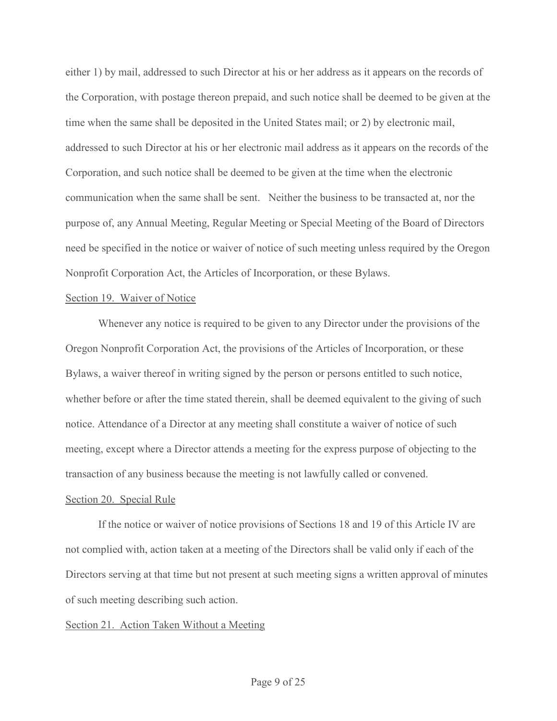either 1) by mail, addressed to such Director at his or her address as it appears on the records of the Corporation, with postage thereon prepaid, and such notice shall be deemed to be given at the time when the same shall be deposited in the United States mail; or 2) by electronic mail, addressed to such Director at his or her electronic mail address as it appears on the records of the Corporation, and such notice shall be deemed to be given at the time when the electronic communication when the same shall be sent. Neither the business to be transacted at, nor the either 1) by mail, addressed to such Director at his or her address as it appears on the records of<br>the Corporation, with postage thereon prepaid, and such notice shall be deemed to be given at the<br>time when the same shall need be specified in the notice or waiver of notice of such meeting unless required by the Oregon Nonprofit Corporation Act, the Articles of Incorporation, or these Bylaws.

#### Section 19. Waiver of Notice

 Whenever any notice is required to be given to any Director under the provisions of the Oregon Nonprofit Corporation Act, the provisions of the Articles of Incorporation, or these Bylaws, a waiver thereof in writing signed by the person or persons entitled to such notice, whether before or after the time stated therein, shall be deemed equivalent to the giving of such notice. Attendance of a Director at any meeting shall constitute a waiver of notice of such meeting, except where a Director attends a meeting for the express purpose of objecting to the transaction of any business because the meeting is not lawfully called or convened. Section 19. Waiver of Notice<br>Whenever any notice is required to be given to any Director under the provisions of the<br>Oregon Nonprofit Corporation Act, the provisions of the Articles of Incorporation, or these<br>Bylaws, a wai

#### Section 20. Special Rule

not complied with, action taken at a meeting of the Directors shall be valid only if each of the Directors serving at that time but not present at such meeting signs a written approval of minutes of such meeting describing such action.

## Section 21. Action Taken Without a Meeting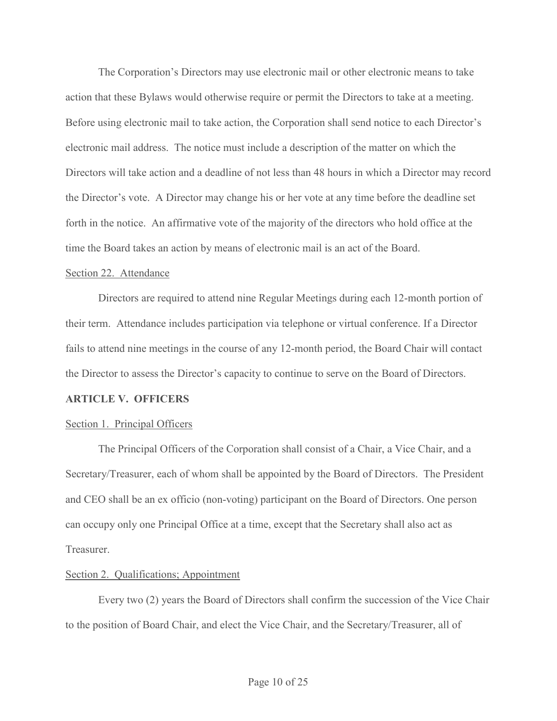The Corporation's Directors may use electronic mail or other electronic means to take<br>action that these Bylaws would otherwise require or permit the Directors to take at a meeting.<br>Before using electronic mail to take acti action that these Bylaws would otherwise require or permit the Directors to take at a meeting. Before using electronic mail to take action, the Corporation shall send notice to each Director's electronic mail address. The notice must include a description of the matter on which the Directors will take action and a deadline of not less than 48 hours in which a Director may record The Corporation's Directors may use electronic mail or other electronic means to take<br>action that these Bylaws would otherwise require or permit the Directors to take at a meeting.<br>Before using electronic mail to take acti forth in the notice. An affirmative vote of the majority of the directors who hold office at the The Corporation's Directors may use electronic mail or other electronic means to take<br>action that these Bylaws would otherwise require or permit the Directors to take at a meeting.<br>Before using electronic mail to take acti

#### Section 22. Attendance

Directors are required to attend nine Regular Meetings during each 12-month portion of their term. Attendance includes participation via telephone or virtual conference. If a Director fails to attend nine meetings in the course of any 12-month period, the Board Chair will contact the Director to assess the Director's capacity to continue to serve on the Board of Directors.

#### ARTICLE V. OFFICERS

#### Section 1. Principal Officers

The Principal Officers of the Corporation shall consist of a Chair, a Vice Chair, and a Secretary/Treasurer, each of whom shall be appointed by the Board of Directors. The President and CEO shall be an ex officio (non-voting) participant on the Board of Directors. One person Directors are required to attend nine Regular Meetings during each 12-month portion of<br>their term. Attendance includes participation via telephone or virtual conference. If a Director<br>fails to attend nine meetings in the c Treasurer.

#### Section 2. Qualifications; Appointment

Every two (2) years the Board of Directors shall confirm the succession of the Vice Chair to the position of Board Chair, and elect the Vice Chair, and the Secretary/Treasurer, all of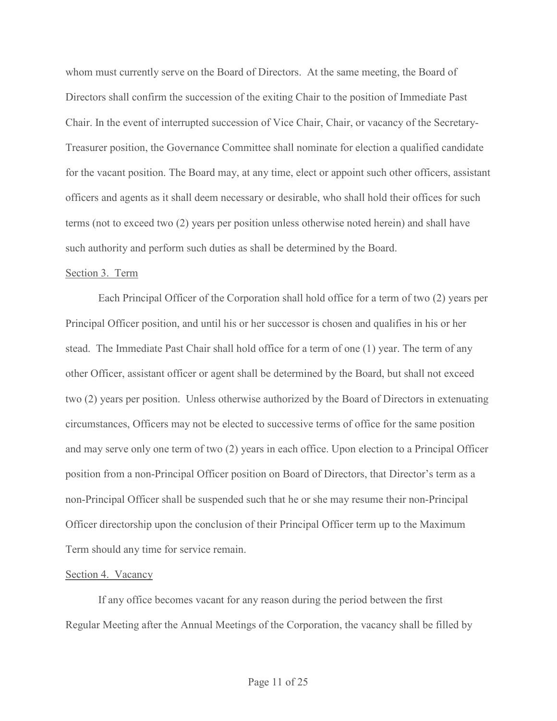whom must currently serve on the Board of Directors. At the same meeting, the Board of Directors shall confirm the succession of the exiting Chair to the position of Immediate Past Chair. In the event of interrupted succession of Vice Chair, Chair, or vacancy of the Secretary-Treasurer position, the Governance Committee shall nominate for election a qualified candidate for the vacant position. The Board may, at any time, elect or appoint such other officers, assistant officers and agents as it shall deem necessary or desirable, who shall hold their offices for such terms (not to exceed two (2) years per position unless otherwise noted herein) and shall have such authority and perform such duties as shall be determined by the Board.

#### Section 3. Term

Each Principal Officer of the Corporation shall hold office for a term of two (2) years per Principal Officer position, and until his or her successor is chosen and qualifies in his or her stead. The Immediate Past Chair shall hold office for a term of one (1) year. The term of any other Officer, assistant officer or agent shall be determined by the Board, but shall not exceed two (2) years per position. Unless otherwise authorized by the Board of Directors in extenuating circumstances, Officers may not be elected to successive terms of office for the same position terms (not to exceed two (2) years per position unless otherwise noted herein) and shall have<br>such authority and perform such duties as shall be determined by the Board.<br>Section 3. Term<br>Fach Principal Officer of the Corpor position from a non-Principal Officer position on Board of Directors, that Director's term as a non-Principal Officer shall be suspended such that he or she may resume their non-Principal Officer directorship upon the conclusion of their Principal Officer term up to the Maximum Term should any time for service remain.

#### Section 4. Vacancy

If any office becomes vacant for any reason during the period between the first Regular Meeting after the Annual Meetings of the Corporation, the vacancy shall be filled by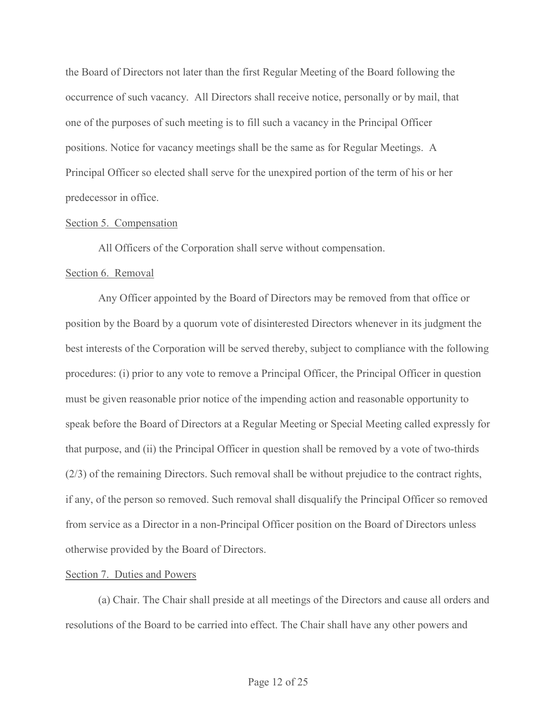the Board of Directors not later than the first Regular Meeting of the Board following the the Board of Directors not later than the first Regular Meeting of the Board following the<br>occurrence of such vacancy. All Directors shall receive notice, personally or by mail, that<br>one of the purposes of such meeting is one of the purposes of such meeting is to fill such a vacancy in the Principal Officer positions. Notice for vacancy meetings shall be the same as for Regular Meetings. A Principal Officer so elected shall serve for the unexpired portion of the term of his or her predecessor in office.

## Section 5. Compensation

All Officers of the Corporation shall serve without compensation.

## Section 6. Removal

Any Officer appointed by the Board of Directors may be removed from that office or position by the Board by a quorum vote of disinterested Directors whenever in its judgment the best interests of the Corporation will be served thereby, subject to compliance with the following procedures: (i) prior to any vote to remove a Principal Officer, the Principal Officer in question must be given reasonable prior notice of the impending action and reasonable opportunity to speak before the Board of Directors at a Regular Meeting or Special Meeting called expressly for that purpose, and (ii) the Principal Officer in question shall be removed by a vote of two-thirds (2/3) of the remaining Directors. Such removal shall be without prejudice to the contract rights, if any, of the person so removed. Such removal shall disqualify the Principal Officer so removed from service as a Director in a non-Principal Officer position on the Board of Directors unless otherwise provided by the Board of Directors.

# Section 7. Duties and Powers

(a) Chair. The Chair shall preside at all meetings of the Directors and cause all orders and resolutions of the Board to be carried into effect. The Chair shall have any other powers and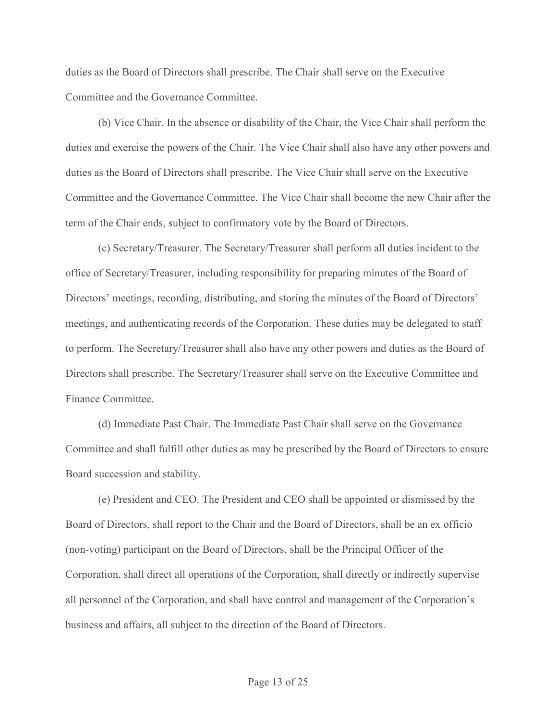duties as the Board of Directors shall prescribe. The Chair shall serve on the Executive Committee and the Governance Committee.

 (b) Vice Chair. In the absence or disability of the Chair, the Vice Chair shall perform the duties and exercise the powers of the Chair. The Vice Chair shall also have any other powers and duties as the Board of Directors shall prescribe. The Vice Chair shall serve on the Executive Committee and the Governance Committee. The Vice Chair shall become the new Chair after the term of the Chair ends, subject to confirmatory vote by the Board of Directors.

(c) Secretary/Treasurer. The Secretary/Treasurer shall perform all duties incident to the office of Secretary/Treasurer, including responsibility for preparing minutes of the Board of Directors' meetings, recording, distributing, and storing the minutes of the Board of Directors' meetings, and authenticating records of the Corporation. These duties may be delegated to staff to perform. The Secretary/Treasurer shall also have any other powers and duties as the Board of Directors shall prescribe. The Secretary/Treasurer shall serve on the Executive Committee and Finance Committee.

(d) Immediate Past Chair. The Immediate Past Chair shall serve on the Governance Committee and shall fulfill other duties as may be prescribed by the Board of Directors to ensure Board succession and stability.

(e) President and CEO. The President and CEO shall be appointed or dismissed by the Board of Directors, shall report to the Chair and the Board of Directors, shall be an ex officio (non-voting) participant on the Board of Directors, shall be the Principal Officer of the Corporation, shall direct all operations of the Corporation, shall directly or indirectly supervise all personnel of the Corporation, and shall have control and management of the Corporation's business and affairs, all subject to the direction of the Board of Directors.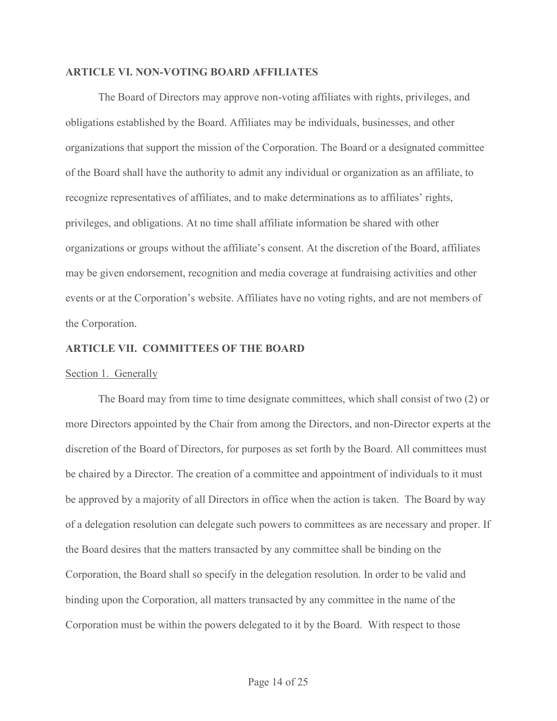#### ARTICLE VI. NON-VOTING BOARD AFFILIATES

The Board of Directors may approve non-voting affiliates with rights, privileges, and obligations established by the Board. Affiliates may be individuals, businesses, and other organizations that support the mission of the Corporation. The Board or a designated committee of the Board shall have the authority to admit any individual or organization as an affiliate, to recognize representatives of affiliates, and to make determinations as to affiliates' rights, privileges, and obligations. At no time shall affiliate information be shared with other organizations or groups without the affiliate's consent. At the discretion of the Board, affiliates may be given endorsement, recognition and media coverage at fundraising activities and other events or at the Corporation's website. Affiliates have no voting rights, and are not members of the Corporation.

#### ARTICLE VII. COMMITTEES OF THE BOARD

### Section 1. Generally

The Board may from time to time designate committees, which shall consist of two (2) or more Directors appointed by the Chair from among the Directors, and non-Director experts at the discretion of the Board of Directors, for purposes as set forth by the Board. All committees must be chaired by a Director. The creation of a committee and appointment of individuals to it must be approved by a majority of all Directors in office when the action is taken. The Board by way events or at the Corporation's website. Affiliates have no voting rights, and are not members of<br>the Corporation.<br>ARTICLE VII. COMMITTEES OF THE BOARD<br>Section 1. Generally<br>The Board may from time to time designate committe the Board desires that the matters transacted by any committee shall be binding on the Corporation, the Board shall so specify in the delegation resolution. In order to be valid and binding upon the Corporation, all matters transacted by any committee in the name of the Corporation must be within the powers delegated to it by the Board. With respect to those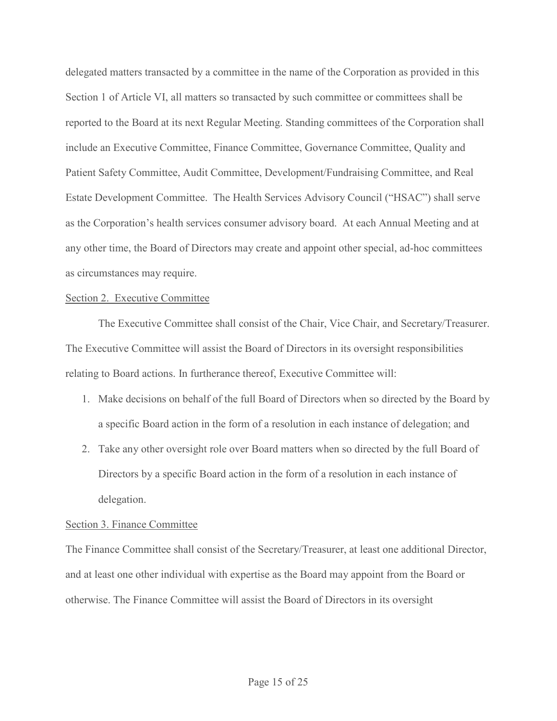delegated matters transacted by a committee in the name of the Corporation as provided in this Section 1 of Article VI, all matters so transacted by such committee or committees shall be reported to the Board at its next Regular Meeting. Standing committees of the Corporation shall include an Executive Committee, Finance Committee, Governance Committee, Quality and Patient Safety Committee, Audit Committee, Development/Fundraising Committee, and Real Estate Development Committee. The Health Services Advisory Council ("HSAC") shall serve as the Corporation's health services consumer advisory board. At each Annual Meeting and at any other time, the Board of Directors may create and appoint other special, ad-hoc committees as circumstances may require. The Corporation's health services consumer advisory board. At each Annual Meeting and at other time, the Board of Directors may create and appoint other special, ad-hoc committees ircumstances may require.<br>
The Exceutive C

#### Section 2. Executive Committee

The Executive Committee shall consist of the Chair, Vice Chair, and Secretary/Treasurer. The Executive Committee will assist the Board of Directors in its oversight responsibilities relating to Board actions. In furtherance thereof, Executive Committee will:

- 1. Make decisions on behalf of the full Board of Directors when so directed by the Board by a specific Board action in the form of a resolution in each instance of delegation; and
- Directors by a specific Board action in the form of a resolution in each instance of delegation.

#### Section 3. Finance Committee

The Finance Committee shall consist of the Secretary/Treasurer, at least one additional Director, and at least one other individual with expertise as the Board may appoint from the Board or otherwise. The Finance Committee will assist the Board of Directors in its oversight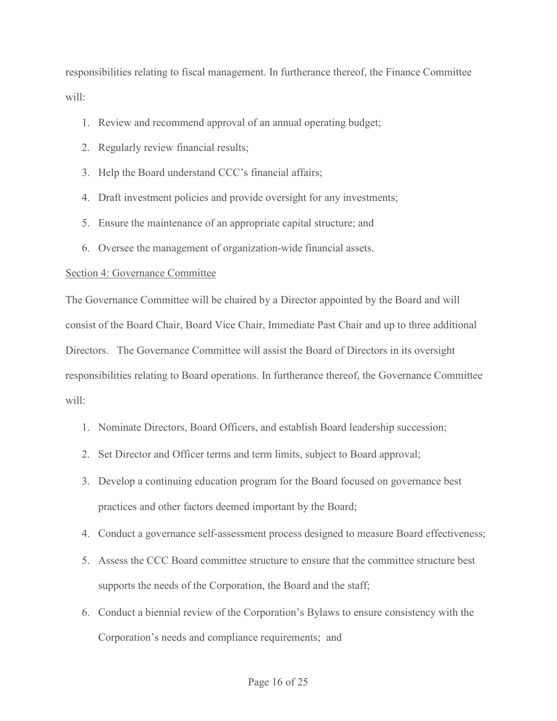responsibilities relating to fiscal management. In furtherance thereof, the Finance Committee will:

- 1. Review and recommend approval of an annual operating budget;
- 2. Regularly review financial results;
- 3. Help the Board understand CCC's financial affairs;
- 4. Draft investment policies and provide oversight for any investments;
- 5. Ensure the maintenance of an appropriate capital structure; and
- 6. Oversee the management of organization-wide financial assets.

## Section 4: Governance Committee

The Governance Committee will be chaired by a Director appointed by the Board and will consist of the Board Chair, Board Vice Chair, Immediate Past Chair and up to three additional Directors. The Governance Committee will assist the Board of Directors in its oversight responsibilities relating to Board operations. In furtherance thereof, the Governance Committee will: 5. Ensure the maintenance of an appropriate capital structure; and<br>
6. Oversec the management of organization-wide financial assets.<br>
tion 4: Governance Committee<br>
Governance Committee will be chaired by a Director appoint 3. Oversee the management of organization-wide financial assets.<br>
ion 4: Governance Committee<br>
Governance Committee vill be chaired by a Director appointed by the Board and will<br>
sist of the Board Chair, Board Vice Chair, 4. Conduct a governance self-assessment process designed to measure Board and will<br>sist of the Board Chair, Board Vice Chair, Immediate Past Chair and up to three additional<br>zetors. The Governance Committee will assist the Sist of the Board Char, Board Vice Char, Immediate Past Char and up to three additional<br>sectors. The Governance Committee will assist the Board of Directors in its oversight<br>onsibilities relating to Board operations. In fu

- 1. Nominate Directors, Board Officers, and establish Board leadership succession;
- 
- practices and other factors deemed important by the Board;
- 
- supports the needs of the Corporation, the Board and the staff;
- 6. Nonintextransity of board operations. In fundation detection, the chosenance commuted consistent.<br>
1. Nominate Directors, Board Officers, and establish Board leadership succession;<br>
2. Set Director and Officer terms and Corporation's needs and compliance requirements; and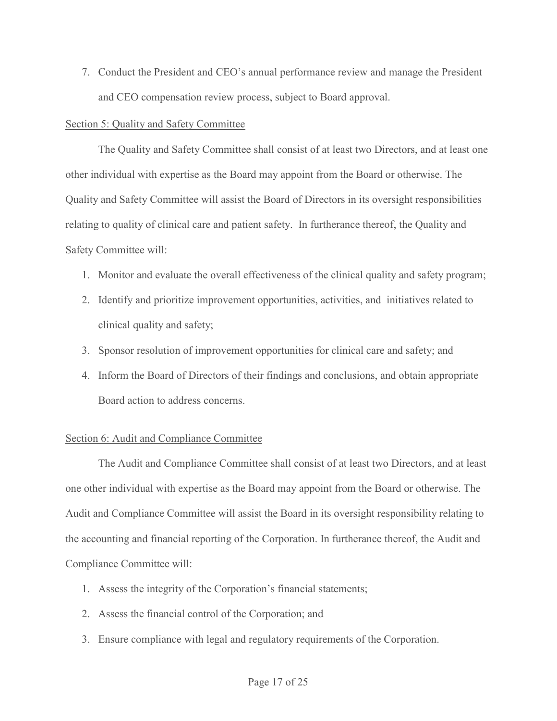7. Conduct the President and CEO's annual performance review and manage the President<br>and CEO compensation review process, subject to Board approval.<br>tion 5: Quality and Safety Committee and CEO compensation review process, subject to Board approval.

## Section 5: Quality and Safety Committee

The Quality and Safety Committee shall consist of at least two Directors, and at least one other individual with expertise as the Board may appoint from the Board or otherwise. The Quality and Safety Committee will assist the Board of Directors in its oversight responsibilities relating to quality of clinical care and patient safety. In furtherance thereof, the Quality and Safety Committee will:

- 1. Monitor and evaluate the overall effectiveness of the clinical quality and safety program;
- 2. Identify and prioritize improvement opportunities, activities, and initiatives related to clinical quality and safety;
- 3. Sponsor resolution of improvement opportunities for clinical care and safety; and
- 4. Inform the Board of Directors of their findings and conclusions, and obtain appropriate Board action to address concerns.

# Section 6: Audit and Compliance Committee

 The Audit and Compliance Committee shall consist of at least two Directors, and at least one other individual with expertise as the Board may appoint from the Board or otherwise. The Audit and Compliance Committee will assist the Board in its oversight responsibility relating to the accounting and financial reporting of the Corporation. In furtherance thereof, the Audit and Compliance Committee will: 1. Inform the Board of Directors of their findings and conclusions, and obtain app<br>
1. Inform the Board of Directors of their findings and conclusions, and obtain app<br>
1. Board action to address concerns.<br>
1. Example 1. An 2. Internal are beaded of bibetons of their intentings and concretently, since<br>
1. Board action to address concerns.<br>
1. Board action to address concerns.<br>
1. The Audit and Compliance Committee shall consist of at least tw 3. Ensure compliance Committee shall consist of at least two Directors, a other individual with expertise as the Board may appoint from the Board or other<br>3. Entert individual with expertise as the Board may appoint from t

- 
- 
-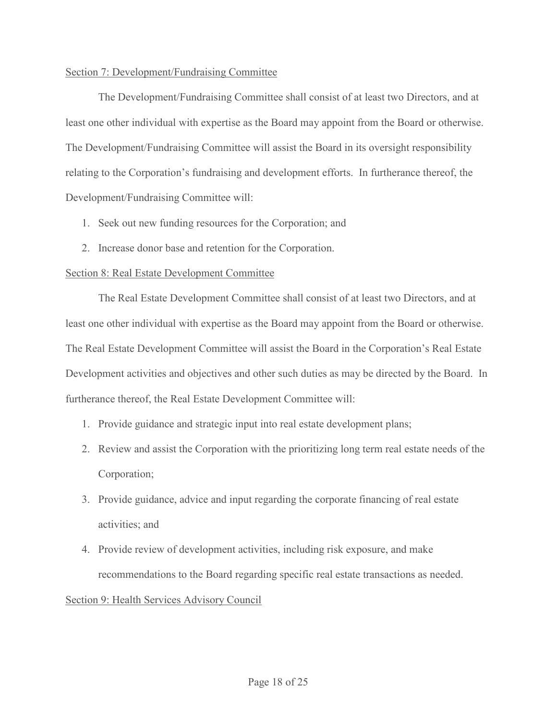# Section 7: Development/Fundraising Committee

 The Development/Fundraising Committee shall consist of at least two Directors, and at least one other individual with expertise as the Board may appoint from the Board or otherwise. The Development/Fundraising Committee will assist the Board in its oversight responsibility relating to the Corporation's fundraising and development efforts. In furtherance thereof, the Development/Fundraising Committee will:

- 1. Seek out new funding resources for the Corporation; and
- 2. Increase donor base and retention for the Corporation.

# Section 8: Real Estate Development Committee

The Real Estate Development Committee shall consist of at least two Directors, and at least one other individual with expertise as the Board may appoint from the Board or otherwise. The Real Estate Development Committee will assist the Board in the Corporation's Real Estate Development activities and objectives and other such duties as may be directed by the Board. In furtherance thereof, the Real Estate Development Committee will: 1. Seek out new funding resources for the Corporation; and<br>
2. Increase donor base and retention for the Corporation.<br>
1.1. The Real Estate Development Committee<br>
1.1. The Real Estate Development Committee shall consist of 12. The Real Estate Development Committee<br>
3. Provident Committee shall consist of at least two Directors, and at<br>
12. The Real Estate Development Committee will assist the Board in the Corporation's Real Estate<br>
12. Real The Real Estate Development Committee shall consist of at least two Directon<br>
e other individual with expertise as the Board may appoint from the Board or c<br>
al Estate Development Committee will assist the Board in the Cor t one other individual with expertise as the Board may appoint from the Board or otherwise.<br>
Real Estate Development Committee will assist the Board in the Corporation's Real Estate<br>
elopment activities and objectives and

- 1. Provide guidance and strategic input into real estate development plans;
- Corporation;
- 
- recommendations to the Board regarding specific real estate transactions as needed.

# Section 9: Health Services Advisory Council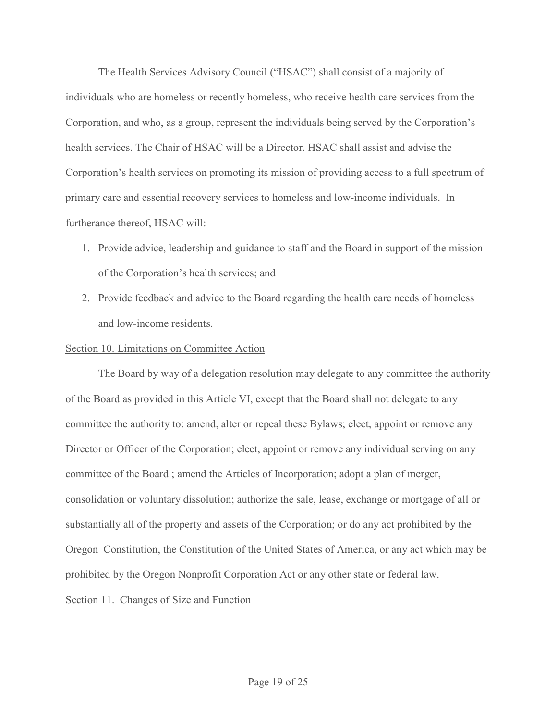The Health Services Advisory Council ("HSAC") shall consist of a majority of<br>individuals who are homeless or recently homeless, who receive health care services from the<br>Corporation, and who, as a group, represent the indi The Health Services Advisory Council ("HSAC") shall consist of a majority of<br>individuals who are homeless or recently homeless, who receive health care services from the<br>Corporation, and who, as a group, represent the indi Corporation, and who, as a group, represent the individuals being served by the Corporation's health services. The Chair of HSAC will be a Director. HSAC shall assist and advise the Corporation's health services on promoting its mission of providing access to a full spectrum of primary care and essential recovery services to homeless and low-income individuals. In furtherance thereof, HSAC will:

- 1. Provide advice, leadership and guidance to staff and the Board in support of the mission of the Corporation's health services; and
- 2. Provide feedback and advice to the Board regarding the health care needs of homeless and low-income residents.

## Section 10. Limitations on Committee Action

The Board by way of a delegation resolution may delegate to any committee the authority of the Board as provided in this Article VI, except that the Board shall not delegate to any committee the authority to: amend, alter or repeal these Bylaws; elect, appoint or remove any Director or Officer of the Corporation; elect, appoint or remove any individual serving on any committee of the Board ; amend the Articles of Incorporation; adopt a plan of merger, consolidation or voluntary dissolution; authorize the sale, lease, exchange or mortgage of all or substantially all of the property and assets of the Corporation; or do any act prohibited by the Oregon Constitution, the Constitution of the United States of America, or any act which may be prohibited by the Oregon Nonprofit Corporation Act or any other state or federal law. Section 11. Changes of Size and Function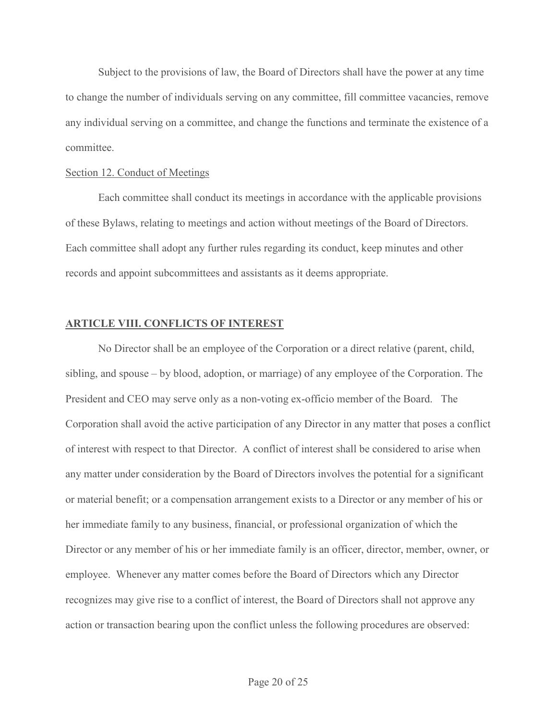Subject to the provisions of law, the Board of Directors shall have the power at any time to change the number of individuals serving on any committee, fill committee vacancies, remove any individual serving on a committee, and change the functions and terminate the existence of a committee.

#### Section 12. Conduct of Meetings

Each committee shall conduct its meetings in accordance with the applicable provisions of these Bylaws, relating to meetings and action without meetings of the Board of Directors. Each committee shall adopt any further rules regarding its conduct, keep minutes and other records and appoint subcommittees and assistants as it deems appropriate.

#### ARTICLE VIII. CONFLICTS OF INTEREST

No Director shall be an employee of the Corporation or a direct relative (parent, child, sibling, and spouse – by blood, adoption, or marriage) of any employee of the Corporation. The President and CEO may serve only as a non-voting ex-officio member of the Board. The Each committee shall conduct its meetings in accordance with the applicable provisions<br>of these Bylaws, relating to meetings and action without meetings of the Board of Directors.<br>Each committee shall adopt any further rul of interest with respect to that Director. A conflict of interest shall be considered to arise when any matter under consideration by the Board of Directors involves the potential for a significant or material benefit; or a compensation arrangement exists to a Director or any member of his or her immediate family to any business, financial, or professional organization of which the Director or any member of his or her immediate family is an officer, director, member, owner, or employee. Whenever any matter comes before the Board of Directors which any Director recognizes may give rise to a conflict of interest, the Board of Directors shall not approve any action or transaction bearing upon the conflict unless the following procedures are observed: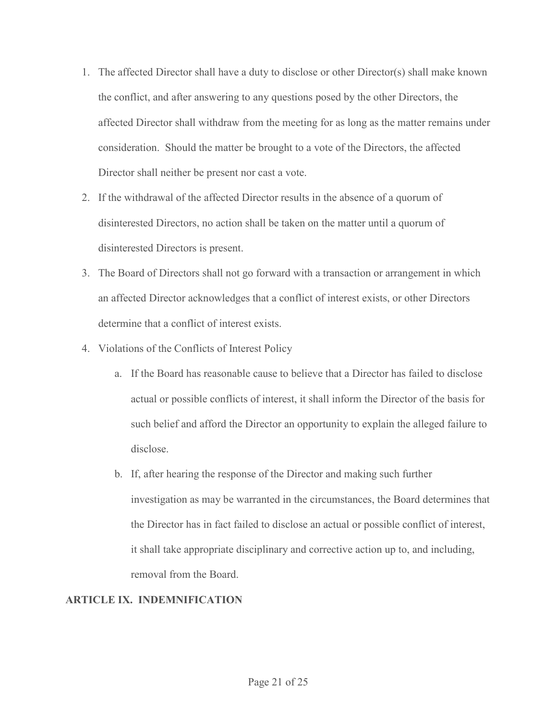- 1. The affected Director shall have a duty to disclose or other Director(s) shall make known<br>the conflict, and after answering to any questions posed by the other Directors, the<br>affected Director shall withdraw from the me the conflict, and after answering to any questions posed by the other Directors, the affected Director shall withdraw from the meeting for as long as the matter remains under consideration. Should the matter be brought to a vote of the Directors, the affected Director shall neither be present nor cast a vote.
- 2. If the withdrawal of the affected Director results in the absence of a quorum of disinterested Directors, no action shall be taken on the matter until a quorum of disinterested Directors is present.
- 3. The Board of Directors shall not go forward with a transaction or arrangement in which an affected Director acknowledges that a conflict of interest exists, or other Directors determine that a conflict of interest exists.
- 4. Violations of the Conflicts of Interest Policy
	- a. If the Board has reasonable cause to believe that a Director has failed to disclose actual or possible conflicts of interest, it shall inform the Director of the basis for such belief and afford the Director an opportunity to explain the alleged failure to disclose.
	- b. If, after hearing the response of the Director and making such further investigation as may be warranted in the circumstances, the Board determines that the Director has in fact failed to disclose an actual or possible conflict of interest, it shall take appropriate disciplinary and corrective action up to, and including, removal from the Board.

# ARTICLE IX. INDEMNIFICATION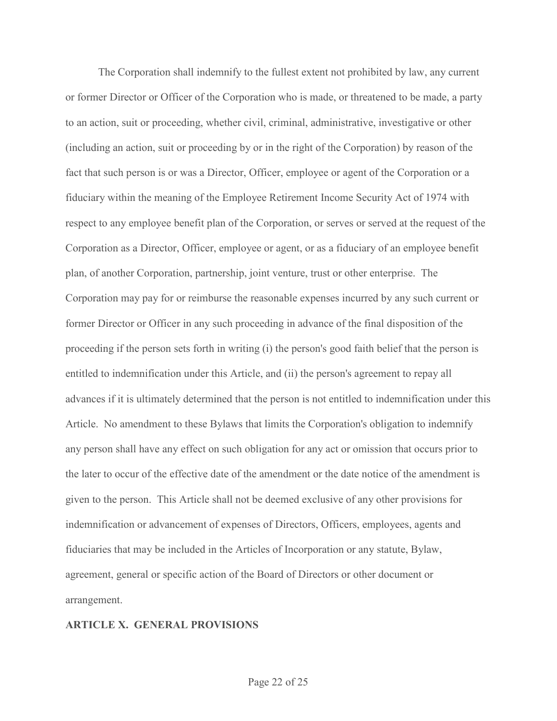The Corporation shall indemnify to the fullest extent not prohibited by law, any current or former Director or Officer of the Corporation who is made, or threatened to be made, a party to an action, suit or proceeding, whether civil, criminal, administrative, investigative or other (including an action, suit or proceeding by or in the right of the Corporation) by reason of the fact that such person is or was a Director, Officer, employee or agent of the Corporation or a fiduciary within the meaning of the Employee Retirement Income Security Act of 1974 with respect to any employee benefit plan of the Corporation, or serves or served at the request of the Corporation as a Director, Officer, employee or agent, or as a fiduciary of an employee benefit plan, of another Corporation, partnership, joint venture, trust or other enterprise. The Corporation may pay for or reimburse the reasonable expenses incurred by any such current or former Director or Officer in any such proceeding in advance of the final disposition of the proceeding if the person sets forth in writing (i) the person's good faith belief that the person is entitled to indemnification under this Article, and (ii) the person's agreement to repay all advances if it is ultimately determined that the person is not entitled to indemnification under this Article. No amendment to these Bylaws that limits the Corporation's obligation to indemnify any person shall have any effect on such obligation for any act or omission that occurs prior to the later to occur of the effective date of the amendment or the date notice of the amendment is given to the person. This Article shall not be deemed exclusive of any other provisions for indemnification or advancement of expenses of Directors, Officers, employees, agents and fiduciaries that may be included in the Articles of Incorporation or any statute, Bylaw, agreement, general or specific action of the Board of Directors or other document or arrangement.

#### ARTICLE X. GENERAL PROVISIONS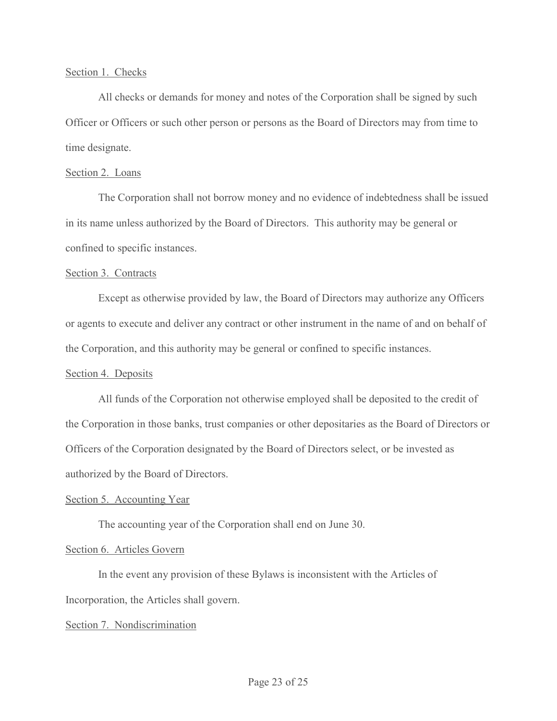#### Section 1. Checks

 All checks or demands for money and notes of the Corporation shall be signed by such Officer or Officers or such other person or persons as the Board of Directors may from time to time designate.

## Section 2. Loans

The Corporation shall not borrow money and no evidence of indebtedness shall be issued in its name unless authorized by the Board of Directors. This authority may be general or confined to specific instances.

## Section 3. Contracts

 Except as otherwise provided by law, the Board of Directors may authorize any Officers or agents to execute and deliver any contract or other instrument in the name of and on behalf of the Corporation, and this authority may be general or confined to specific instances.

# Section 4. Deposits

 All funds of the Corporation not otherwise employed shall be deposited to the credit of the Corporation in those banks, trust companies or other depositaries as the Board of Directors or Officers of the Corporation designated by the Board of Directors select, or be invested as authorized by the Board of Directors.

# Section 5. Accounting Year

The accounting year of the Corporation shall end on June 30.

# Section 6. Articles Govern

 In the event any provision of these Bylaws is inconsistent with the Articles of Incorporation, the Articles shall govern.

# Section 7. Nondiscrimination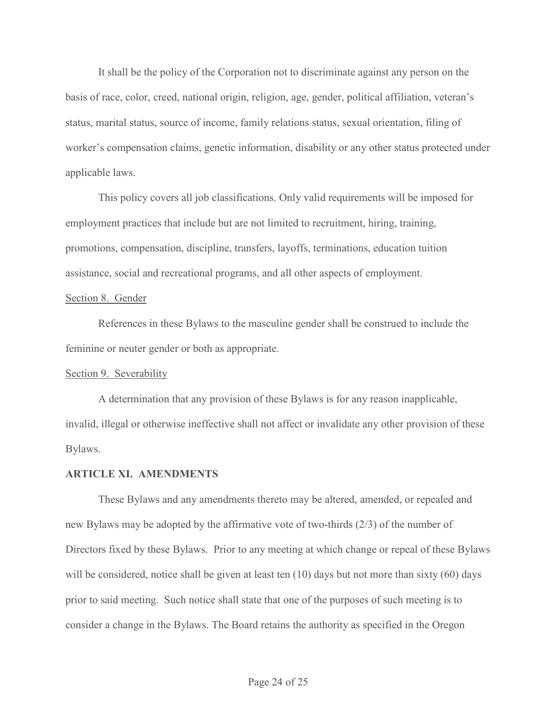It shall be the policy of the Corporation not to discriminate against any person on the basis of race, color, creed, national origin, religion, age, gender, political affiliation, veteran's status, marital status, source of income, family relations status, sexual orientation, filing of worker's compensation claims, genetic information, disability or any other status protected under applicable laws.

This policy covers all job classifications. Only valid requirements will be imposed for employment practices that include but are not limited to recruitment, hiring, training, promotions, compensation, discipline, transfers, layoffs, terminations, education tuition assistance, social and recreational programs, and all other aspects of employment.

#### Section 8. Gender

References in these Bylaws to the masculine gender shall be construed to include the feminine or neuter gender or both as appropriate.

#### Section 9. Severability

 A determination that any provision of these Bylaws is for any reason inapplicable, invalid, illegal or otherwise ineffective shall not affect or invalidate any other provision of these Bylaws.

#### ARTICLE XI. AMENDMENTS

These Bylaws and any amendments thereto may be altered, amended, or repealed and new Bylaws may be adopted by the affirmative vote of two-thirds (2/3) of the number of Directors fixed by these Bylaws. Prior to any meeting at which change or repeal of these Bylaws will be considered, notice shall be given at least ten (10) days but not more than sixty (60) days prior to said meeting. Such notice shall state that one of the purposes of such meeting is to consider a change in the Bylaws. The Board retains the authority as specified in the Oregon